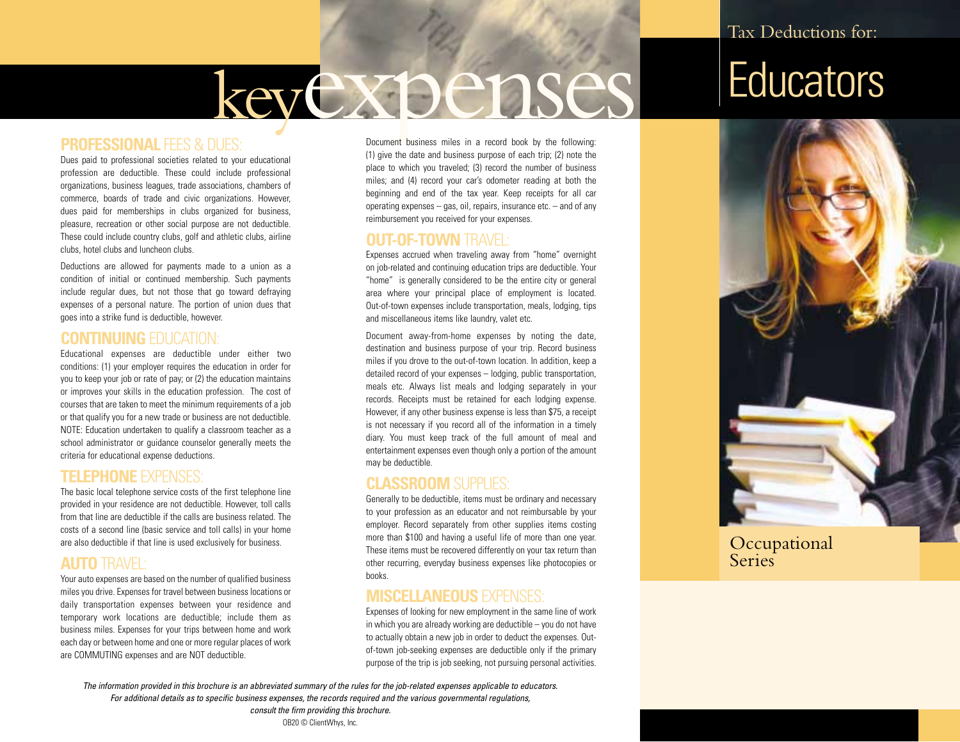# keyexpenses

## **Educators**

#### **PROFESSIONAL FEES & DUES:**

Dues paid to professional societies related to your educational profession are deductible. These could include professional organizations, business leagues, trade associations, chambers of commerce, boards of trade and civic organizations. However, dues paid for memberships in clubs organized for business, pleasure, recreation or other social purpose are not deductible. These could include country clubs, golf and athletic clubs, airline clubs, hotel clubs and luncheon clubs.

Deductions are allowed for payments made to a union as a condition of initial or continued membership. Such payments include regular dues, but not those that go toward defraying expenses of a personal nature. The portion of union dues that goes into a strike fund is deductible, however.

#### **CONTINUING** EDUCATION:

Educational expenses are deductible under either two conditions: (1) your employer requires the education in order for you to keep your job or rate of pay; or (2) the education maintains or improves your skills in the education profession. The cost of courses that are taken to meet the minimum requirements of a job or that qualify you for a new trade or business are not deductible. NOTE: Education undertaken to qualify a classroom teacher as a school administrator or guidance counselor generally meets the criteria for educational expense deductions.

#### **TELEPHONE** EXPENSES:

The basic local telephone service costs of the first telephone line provided in your residence are not deductible. However, toll calls from that line are deductible if the calls are business related. The costs of a second line (basic service and toll calls) in your home are also deductible if that line is used exclusively for business.

#### **AUTO** TRAVEL:

Your auto expenses are based on the number of qualified business miles you drive. Expenses for travel between business locations or daily transportation expenses between your residence and temporary work locations are deductible; include them as business miles. Expenses for your trips between home and work each day or between home and one or more regular places of work are COMMUTING expenses and are NOT deductible.

Document business miles in a record book by the following: (1) give the date and business purpose of each trip; (2) note the place to which you traveled; (3) record the number of business miles; and (4) record your car's odometer reading at both the beginning and end of the tax year. Keep receipts for all car operating expenses – gas, oil, repairs, insurance etc. – and of any reimbursement you received for your expenses.

#### **OUT-OF-TOWN** TRAVEL:

Expenses accrued when traveling away from "home" overnight on job-related and continuing education trips are deductible. Your "home" is generally considered to be the entire city or general area where your principal place of employment is located. Out-of-town expenses include transportation, meals, lodging, tips and miscellaneous items like laundry, valet etc.

Document away-from-home expenses by noting the date, destination and business purpose of your trip. Record business miles if you drove to the out-of-town location. In addition, keep a detailed record of your expenses – lodging, public transportation, meals etc. Always list meals and lodging separately in your records. Receipts must be retained for each lodging expense. However, if any other business expense is less than \$75, a receipt is not necessary if you record all of the information in a timely diary. You must keep track of the full amount of meal and entertainment expenses even though only a portion of the amount may be deductible.

#### **CLASSROOM** SUPPLIES:

Generally to be deductible, items must be ordinary and necessary to your profession as an educator and not reimbursable by your employer. Record separately from other supplies items costing more than \$100 and having a useful life of more than one year. These items must be recovered differently on your tax return than other recurring, everyday business expenses like photocopies or books.

#### **MISCELLANEOUS** EXPENSES:

Expenses of looking for new employment in the same line of work in which you are already working are deductible – you do not have to actually obtain a new job in order to deduct the expenses. Outof-town job-seeking expenses are deductible only if the primary purpose of the trip is job seeking, not pursuing personal activities.



**Occupational Series** 

*The information provided in this brochure is an abbreviated summary of the rules for the job-related expenses applicable to educators. For additional details as to specific business expenses, the records required and the various governmental regulations,* 

> *consult the firm providing this brochure.* OB20 © ClientWhys, Inc.